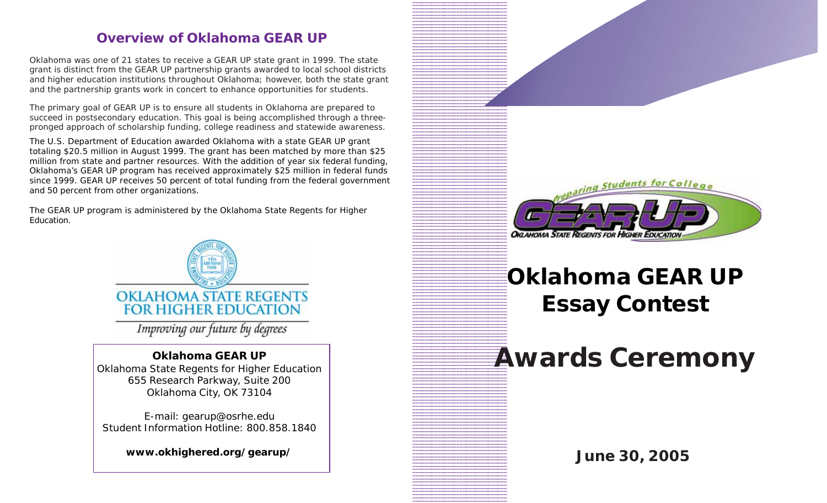# **Overview of Oklahoma GEAR UP**

Oklahoma was one of 21 states to receive a GEAR UP state grant in 1999. The state grant is distinct from the GEAR UP partnership grants awarded to local school districts and higher education institutions throughout Oklahoma; however, both the state grant and the partnership grants work in concert to enhance opportunities for students.

The primary goal of GEAR UP is to ensure all students in Oklahoma are prepared to succeed in postsecondary education. This goal is being accomplished through a threepronged approach of scholarship funding, college readiness and statewide awareness.

The U.S. Department of Education awarded Oklahoma with a state GEAR UP grant totaling \$20.5 million in August 1999. The grant has been matched by more than \$25 million from state and partner resources. With the addition of year six federal funding, Oklahoma's GEAR UP program has received approximately \$25 million in federal funds since 1999. GEAR UP receives 50 percent of total funding from the federal government and 50 percent from other organizations.

The GEAR UP program is administered by the Oklahoma State Regents for Higher Education.



Improving our future by degrees

#### **Oklahoma GEAR UP**

Oklahoma State Regents for Higher Education 655 Research Parkway, Suite 200 Oklahoma City, OK 73104

E-mail: gearup@osrhe.edu Student Information Hotline: 800.858.1840

**www.okhighered.org/gearup/ June 30, 2005**



1234567890123456789012345678901 1 1 1234<del>67891</del>8901234567891891234567891891234567891891234567891891 123456789012345678901234567890123456789012345678901234567890123456789012345678901 1234567890123456789012345678901 1234567890123456789012345678901

# **Oklahoma GEAR UP Essay Contest**

Awards Ceremony